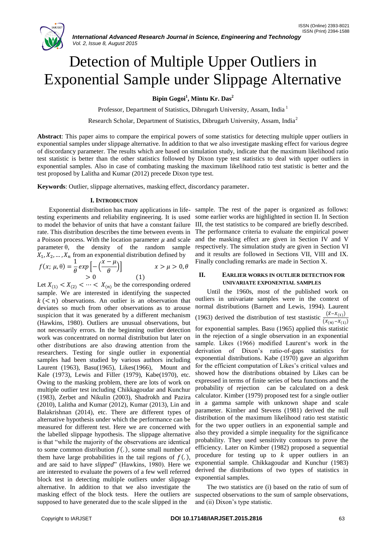

# Detection of Multiple Upper Outliers in Exponential Sample under Slippage Alternative

**Bipin Gogoi<sup>1</sup> , Mintu Kr. Das<sup>2</sup>**

Professor, Department of Statistics, Dibrugarh University, Assam, India <sup>1</sup>

Research Scholar, Department of Statistics, Dibrugarh University, Assam, India<sup>2</sup>

**Abstract**: This paper aims to compare the empirical powers of some statistics for detecting multiple upper outliers in exponential samples under slippage alternative. In addition to that we also investigate masking effect for various degree of discordancy parameter. The results which are based on simulation study, indicate that the maximum likelihood ratio test statistic is better than the other statistics followed by Dixon type test statistics to deal with upper outliers in exponential samples. Also in case of combating masking the maximum likelihood ratio test statistic is better and the test proposed by Lalitha and Kumar (2012) precede Dixon type test.

**Keywords**: Outlier, slippage alternatives, masking effect, discordancy parameter.

## **I. INTRODUCTION**

testing experiments and reliability engineering. It is used to model the behavior of units that have a constant failure rate. This distribution describes the time between events in a Poisson process. With the location parameter  $\mu$  and scale parameter  $\theta$ , the density of the random sample  $X_1, X_2, \ldots, X_n$  from an exponential distribution defined by

$$
f(x; \mu, \theta) = \frac{1}{\theta} exp\left[-\left(\frac{x-\mu}{\theta}\right)\right] \qquad x > \mu > 0, \theta
$$
  
> 0 (1)

Let  $X_{(1)} < X_{(2)} < \cdots < X_{(n)}$  be the corresponding ordered sample. We are interested in identifying the suspected  $k$  (< n) observations. An outlier is an observation that deviates so much from other observations as to arouse suspicion that it was generated by a different mechanism (Hawkins, 1980). Outliers are unusual observations, but not necessarily errors. In the beginning outlier detection work was concentrated on normal distribution but later on other distributions are also drawing attention from the researchers. Testing for single outlier in exponential samples had been studied by various authors including Laurent (1963), Basu(1965), Likes(1966), Mount and Kale (1973), Lewis and Filler (1979), Kabe(1970), etc. Owing to the masking problem, there are lots of work on multiple outlier test including Chikkagoudar and Kunchur (1983), Zerbet and Nikulin (2003), Shadrokh and Pazira (2010), Lalitha and Kumar (2012), Kumar (2013), Lin and Balakrishnan (2014), etc. There are different types of alternative hypothesis under which the performance can be measured for different test. Here we are concerned with the labelled slippage hypothesis. The slippage alternative is that "while the majority of the observations are identical to some common distribution  $f(.)$ , some small number of them have large probabilities in the tail regions of  $f(.)$ , and are said to have *slipped*" (Hawkins, 1980). Here we are interested to evaluate the powers of a few well referred block test in detecting multiple outliers under slippage alternative. In addition to that we also investigate the masking effect of the block tests. Here the outliers are supposed to have generated due to the scale slipped in the

Exponential distribution has many applications in life-sample. The rest of the paper is organized as follows: some earlier works are highlighted in section II. In Section III, the test statistics to be compared are briefly described. The performance criteria to evaluate the empirical power and the masking effect are given in Section IV and V respectively. The simulation study are given in Section VI and it results are followed in Sections VII, VIII and IX. Finally concluding remarks are made in Section X.

## **II. EARLIER WORKS IN OUTLIER DETECTION FOR UNIVARIATE EXPONENTIAL SAMPLES**

Until the 1960s, most of the published work on outliers in univariate samples were in the context of normal distributions (Barnett and Lewis, 1994). Laurent (1963) derived the distribution of test stastistic  $\frac{(\bar{x} - x_{(1)})}{(x_{(n)} - x_{(1)})}$ for exponential samples. Basu (1965) applied this statistic in the rejection of a single observation in an exponential sample. Likes (1966) modified Laurent's work in the derivation of Dixon"s ratio-of-gaps statistics for exponential distributions. Kabe (1970) gave an algorithm for the efficient computation of Likes"s critical values and showed how the distributions obtained by Likes can be expressed in terms of finite series of beta functions and the probability of rejection can be calculated on a desk calculator. Kimber (1979) proposed test for a single outlier in a gamma sample with unknown shape and scale parameter. Kimber and Stevens (1981) derived the null distribution of the maximum likelihood ratio test statistic for the two upper outliers in an exponential sample and also they provided a simple inequality for the significance probability. They used sensitivity contours to prove the efficiency. Later on Kimber (1982) proposed a sequential procedure for testing up to  $k$  upper outliers in an exponential sample. Chikkagoudar and Kunchur (1983) derived the distributions of two types of statistics in exponential samples.

The two statistics are (i) based on the ratio of sum of suspected observations to the sum of sample observations, and (ii) Dixon"s type statistic.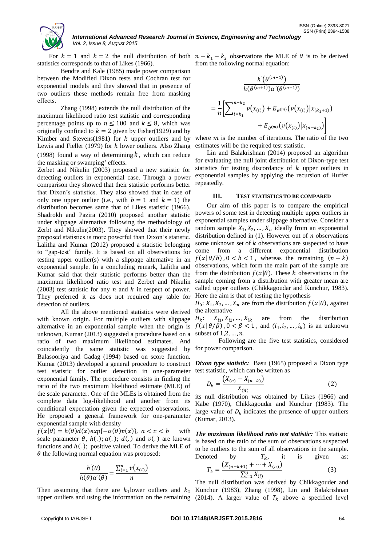

## *International Advanced Research Journal in Science, Engineering and Technology Vol. 2, Issue 8, August 2015*

statistics corresponds to that of Likes (1966).

Bendre and Kale (1985) made power comparison between the Modified Dixon tests and Cochran test for exponential models and they showed that in presence of two outliers these methods remain free from masking effects.

Zhang (1998) extends the null distribution of the maximum likelihood ratio test statistic and corresponding percentage points up to  $n \le 100$  and  $k \le 8$ , which was originally confined to  $k = 2$  given by Fisher(1929) and by Kimber and Stevens(1981) for  $k$  upper outliers and by Lewis and Fieller (1979) for  $k$  lower outliers. Also Zhang (1998) found a way of determining *k* , which can reduce the masking or swamping' effects.

Zerbet and Nikulin (2003) proposed a new statistic for detecting outliers in exponential case. Through a power comparison they showed that their statistic performs better that Dixon"s statistics. They also showed that in case of only one upper outlier (i.e., with  $b = 1$  and  $k = 1$ ) the distribution becomes same that of Likes statistic (1966). Shadrokh and Pazira (2010) proposed another statistic under slippage alternative following the methodology of Zerbt and Nikulin(2003). They showed that their newly proposed statistics is more powerful than Dixon"s statistic. Lalitha and Kumar (2012) proposed a statistic belonging to "gap-test" family. It is based on all observations for testing upper outlier(s) with a slippage alternative in an exponential sample. In a concluding remark, Lalitha and Kumar said that their statistic performs better than the maximum likelihood ratio test and Zerbet and Nikulin (2003) test statistic for any  $n$  and  $k$  in respect of power. They preferred it as does not required any table for detection of outliers.

All the above mentioned statistics were derived with known origin. For multiple outliers with slippage alternative in an exponential sample when the origin is unknown, Kumar (2013) suggested a procedure based on a ratio of two maximum likelihood estimates. And coincidently the same statistic was suggested by Balasooriya and Gadag (1994) based on score function. Kumar (2013) developed a general procedure to construct test statistic for outlier detection in one-parameter exponential family. The procedure consists in finding the ratio of the two maximum likelihood estimate (MLE) of the scale parameter. One of the MLEs is obtained from the complete data log-likelihood and another from its conditional expectation given the expected observations. He proposed a general framework for one-parameter exponential sample with density

 $f(x|\theta) = h(\theta)d(x)exp{-\alpha(\theta)v(x)}, a < x < b$ scale parameter  $\theta$ ,  $h(.)$ ;  $\alpha(.)$ ;  $d(.)$  and  $\nu(.)$  are known functions and  $h(.)$ ; positive valued. To derive the MLE of  $\theta$  the following normal equation was proposed:

$$
\frac{h'(\theta)}{h(\theta)\alpha'(\theta)} = \frac{\sum_{i=1}^{n} \nu(x_{(i)})}{n}
$$

Then assuming that there are  $k_1$ lower outliers and  $k_2$  Kunchur (1983), Zhang (1998), Lin and Balakrishnan

For  $k = 1$  and  $k = 2$  the null distribution of both  $n - k_1 - k_2$  observations the MLE of  $\theta$  is to be derived from the following normal equation:

$$
\frac{h'(\theta^{(m+1)})}{h(\theta^{(m+1)})\alpha'(\theta^{(m+1)})}
$$
\n
$$
= \frac{1}{n} \Biggl[ \sum_{i=k_1}^{n-k_2} v(x_{(i)}) + E_{\theta^{(m)}}(v(x_{(i)}) | x_{(k_1+1)}) + E_{\theta^{(m)}}(v(x_{(i)}) | x_{(n-k_2)}) \Biggr]
$$

where  $m$  is the number of iterations. The ratio of the two estimates will be the required test statistic.

Lin and Balakrishnan (2014) proposed an algorithm for evaluating the null joint distribution of Dixon-type test statistics for testing discordancy of  $k$  upper outliers in exponential samples by applying the recursion of Huffer repeatedly.

## **III. TEST STATISTICS TO BE COMPARED**

Our aim of this paper is to compare the empirical powers of some test in detecting multiple upper outliers in exponential samples under slippage alternative. Consider a random sample  $X_1, X_2, ..., X_n$  ideally from an exponential distribution defined in  $(1)$ . However out of *n* observations some unknown set of  $k$  observations are suspected to have come from a different exponential distribution  $f(x | \theta/b)$ ,  $0 < b < 1$ , whereas the remaining  $(n - k)$ observations, which form the main part of the sample are from the distribution  $f(x|\theta)$ . These k observations in the sample coming from a distribution with greater mean are called upper outliers (Chikkagoudar and Kunchur, 1983). Here the aim is that of testing the hypothesis

 $H_0: X_1, X_2, \ldots, X_n$  are from the distribution  $f(x | \theta)$ , against the alternative

 $H_k$ :  $X_{i1}, X_{i2}, \ldots, X_{ik}$  are from the distribution  $f(x | \theta/\beta)$ ,  $0 < \beta < 1$ , and  $(i_1, i_2, ..., i_k)$  is an unknown subset of  $1,2,\ldots,n$ .

Following are the five test statistics, considered for power comparison.

*Dixon type statistic:* Basu (1965) proposed a Dixon type test statistic, which can be written as

$$
D_k = \frac{(X_{(n)} - X_{(n-k)})}{X_{(n)}}\tag{2}
$$

its null distribution was obtained by Likes (1966) and Kabe (1970), Chikkagoudar and Kunchur (1983). The large value of  $D_k$  indicates the presence of upper outliers (Kumar, 2013).

*The maximum likelihood ratio test statistic:* This statistic is based on the ratio of the sum of observations suspected to be outliers to the sum of all observations in the sample.

Denoted by 
$$
T_k
$$
, it is given as:  
\n
$$
T_k = \frac{(X_{(n-k+1)} + \dots + X_{(n)})}{\sum_{i=1}^{n} X_{(i)}}
$$
\n(3)

upper outliers and using the information on the remaining (2014). A larger value of  $T_k$  above a specified level The null distribution was derived by Chikkagouder and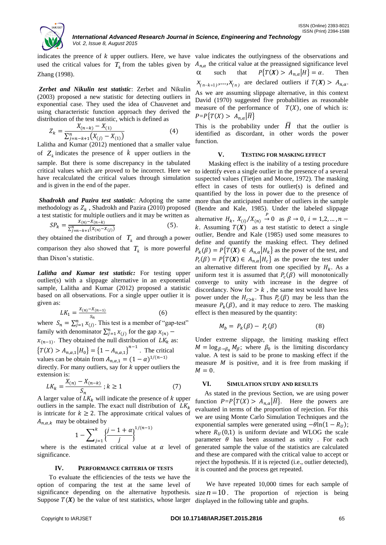

used the critical values for  $T_k$  from the tables given by Zhang (1998).

*Zerbet and Nikulin test statistic*: Zerbet and Nikulin (2003) proposed a new statistic for detecting outliers in exponential case. They used the idea of Chauvenet and using characteristic function approach they derived the distribution of the test statistic, which is defined as

$$
Z_k = \frac{X_{(n-k)} - X_{(1)}}{\sum_{j=n-k+1}^{n} (X_{(j)} - X_{(1)})}
$$
(4)

Lalitha and Kumar (2012) mentioned that a smaller value of  $Z_k$  indicates the presence of  $k$  upper outliers in the sample. But there is some discrepancy in the tabulated critical values which are proved to be incorrect. Here we have recalculated the critical values through simulation and is given in the end of the paper.

*Shadrokh and Pazira test statistic*: Adopting the same methodology as  $Z_k$ , Shadrokh and Pazira (2010) proposed a test statistic for multiple outliers and it may be written as

$$
SP_k = \frac{X_{(n)} - X_{(n-k)}}{\sum_{j=n-k+1}^{n} (X_{(n)} - X_{(j)})}
$$
(5).

they obtained the distribution of  $T_k$  and through a power comparison they also showed that  $T_k$  is more powerful than Dixon's statistic.

*Lalitha and Kumar test statistic:* For testing upper outlier(s) with a slippage alternative in an exponential sample, Lalitha and Kumar (2012) proposed a statistic based on all observations. For a single upper outlier it is given as:

$$
LK_1 = \frac{X_{(n)} - X_{(n-1)}}{S_n} \tag{6}
$$

where  $S_n = \sum_{j=1}^n x_{(j)}$ . This test is a member of "gap-test" family with denominator  $\sum_{j=1}^{n} x_{(j)}$  for the gap  $x_{(n)}$  –

 $x_{(n-1)}$ . They obtained the null distribution of LK<sub>k</sub> as:  ${T(X) > A_{n,\alpha,1}|H_0} = {1 - A_{n,\alpha,1}}^{n-1}$ . The critical

values can be obtain from  $A_{n,\alpha,1} = (1 - \alpha)^{1/(n-1)}$ directly. For many outliers, say for  $k$  upper outliers the extension is:

$$
LK_k = \frac{X_{(n)} - X_{(n-k)}}{S_n} ; k \ge 1
$$
 (7)

A larger value of  $LK_k$  will indicate the presence of k upper outliers in the sample. The exact null distribution of  $LK_k$ is intricate for  $k \ge 2$ . The approximate critical values of  $A_{n,\alpha,k}$  may be obtained by

$$
1 - \sum_{j=1}^{k} \left\{ \frac{j-1+\alpha}{j} \right\}^{1/(n-1)}
$$

where is the estimated critical value at  $\alpha$  level of significance.

## **IV. PERFORMANCE CRITERIA OF TESTS**

To evaluate the efficiencies of the tests we have the option of comparing the test at the same level of significance depending on the alternative hypothesis. Suppose  $T(X)$  be the value of test statistics, whose larger

indicates the preence of  $k$  upper outliers. Here, we have value indicates the outlyingness of the observations and  $A_{n,\alpha}$  the critical value at the preassigned significance level  $\alpha$ such that  $P\{T(X) > A_{n,\alpha} | H\} = \alpha$ . Then  $x_{n-k+1},...,x_{n}$  are declared outliers if  $T(X) > A_{n,\alpha}$ . As we are assuming slippage alternative, in this context David (1970) suggested five probabilities as reasonable measure of the performance of  $T(X)$ , one of which is:  $P = P\{T(X) > A_{n,\alpha} | \overline{H}\}\$ 

> This is the probability under  $\overline{H}$  that the outlier is identified as discordant, in other words the power function.

#### **V. TESTING FOR MASKING EFFECT**

Masking effect is the inability of a testing procedure to identify even a single outlier in the presence of a several suspected values (Tietjen and Moore, 1972). The masking effect in cases of tests for outlier(s) is defined and quantified by the loss in power due to the presence of more than the anticipated number of outliers in the sample (Bendre and Kale, 1985). Under the labeled slippage alternative  $H_k$ ,  $X_{(i)}/X_{(n)} \stackrel{P}{\rightarrow} 0$  as  $\beta \rightarrow 0$ , k. Assuming  $T(X)$  as a test statistic to detect a single outlier, Bendre and Kale (1985) used some measures to define and quantify the masking effect. They defined  $P_k(\beta) = P\{T(\mathbf{X}) \in A_{n,\alpha} | H_k\}$  as the power of the test, and  $P_c(\beta) = P\{T(\mathbf{X}) \in A_{n,\alpha} | H_c\}$  as the power the test under an alternative different from one specified by  $H_k$ . As a uniform test it is assumed that  $P_c(\beta)$  will monotonically converge to unity with increase in the degree of discordancy. Now for  $> k$ , the same test would have less power under the  $H_{c > k}$ . Thus  $P_c(\beta)$  may be less than the measure  $P_k(\beta)$ , and it may reduce to zero. The masking effect is then measured by the quantity:

$$
M_b = P_k(\beta) - P_c(\beta) \tag{8}
$$

Under extreme slippage, the limiting masking effect  $M = \log_{\beta \to \beta_0} M_\beta$ ; where  $\beta_0$  is the limiting discordancy value. A test is said to be prone to masking effect if the measure  $M$  is positive, and it is free from masking if  $M = 0$ .

## **VI. SIMULATION STUDY AND RESULTS**

As stated in the previous Section, we are using power function  $P = P\{T(X) > A_{n,\alpha} | \overline{H}\}.$  Here the powers are evaluated in terms of the proportion of rejection. For this we are using Monte Carlo Simulation Techniques and the exponential samples were generated using  $-\theta \ln(1 - R_{II})$ ; where  $R_{II}(0,1)$  is uniform deviate and WLOG the scale parameter  $\theta$  has been assumed as unity . For each generated sample the value of the statistics are calculated and these are compared with the critical value to accept or reject the hypothesis. If it is rejected (i.e., outlier detected), it is counted and the process get repeated.

We have repeated 10,000 times for each sample of size  $n = 10$ . The proportion of rejection is being displayed in the following table and graphs.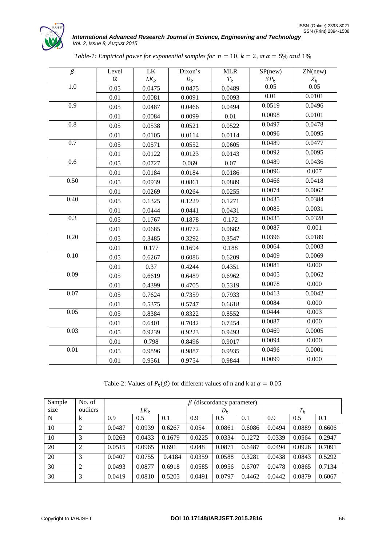

| $\beta$  | Level    | <b>LK</b> | Dixon's | <b>MLR</b> | SP(new) | ZN(new)            |
|----------|----------|-----------|---------|------------|---------|--------------------|
|          | $\alpha$ | $LK_k$    | $D_k$   | $T_k$      | $SP_k$  | $\frac{Z_k}{0.05}$ |
| 1.0      | 0.05     | 0.0475    | 0.0475  | 0.0489     | 0.05    |                    |
|          | 0.01     | 0.0081    | 0.0091  | 0.0093     | 0.01    | 0.0101             |
| 0.9      | 0.05     | 0.0487    | 0.0466  | 0.0494     | 0.0519  | 0.0496             |
|          | 0.01     | 0.0084    | 0.0099  | 0.01       | 0.0098  | 0.0101             |
| $0.8\,$  | 0.05     | 0.0538    | 0.0521  | 0.0522     | 0.0497  | 0.0478             |
|          | 0.01     | 0.0105    | 0.0114  | 0.0114     | 0.0096  | 0.0095             |
| 0.7      | 0.05     | 0.0571    | 0.0552  | 0.0605     | 0.0489  | 0.0477             |
|          | 0.01     | 0.0122    | 0.0123  | 0.0143     | 0.0092  | 0.0095             |
| 0.6      | 0.05     | 0.0727    | 0.069   | 0.07       | 0.0489  | 0.0436             |
|          | 0.01     | 0.0184    | 0.0184  | 0.0186     | 0.0096  | 0.007              |
| 0.50     | 0.05     | 0.0939    | 0.0861  | 0.0889     | 0.0466  | 0.0418             |
|          | 0.01     | 0.0269    | 0.0264  | 0.0255     | 0.0074  | 0.0062             |
| 0.40     | 0.05     | 0.1325    | 0.1229  | 0.1271     | 0.0435  | 0.0384             |
|          | 0.01     | 0.0444    | 0.0441  | 0.0431     | 0.0085  | 0.0031             |
| 0.3      | 0.05     | 0.1767    | 0.1878  | 0.172      | 0.0435  | 0.0328             |
|          | 0.01     | 0.0685    | 0.0772  | 0.0682     | 0.0087  | 0.001              |
| 0.20     | 0.05     | 0.3485    | 0.3292  | 0.3547     | 0.0396  | 0.0189             |
|          | 0.01     | 0.177     | 0.1694  | 0.188      | 0.0064  | 0.0003             |
| 0.10     | 0.05     | 0.6267    | 0.6086  | 0.6209     | 0.0409  | 0.0069             |
|          | 0.01     | 0.37      | 0.4244  | 0.4351     | 0.0081  | 0.000              |
| 0.09     | 0.05     | 0.6619    | 0.6489  | 0.6962     | 0.0405  | 0.0062             |
|          | 0.01     | 0.4399    | 0.4705  | 0.5319     | 0.0078  | 0.000              |
| $0.07\,$ | 0.05     | 0.7624    | 0.7359  | 0.7933     | 0.0413  | 0.0042             |
|          | 0.01     | 0.5375    | 0.5747  | 0.6618     | 0.0084  | 0.000              |
| 0.05     | 0.05     | 0.8384    | 0.8322  | 0.8552     | 0.0444  | 0.003              |
|          | 0.01     | 0.6401    | 0.7042  | 0.7454     | 0.0087  | 0.000              |
| 0.03     | 0.05     | 0.9239    | 0.9223  | 0.9493     | 0.0469  | 0.0005             |
|          | 0.01     | 0.798     | 0.8496  | 0.9017     | 0.0094  | 0.000              |
| 0.01     | 0.05     | 0.9896    | 0.9887  | 0.9935     | 0.0496  | 0.0001             |
|          | 0.01     | 0.9561    | 0.9754  | 0.9844     | 0.0099  | 0.000              |

|  |  |  | Table-1: Empirical power for exponential samples for $n = 10$ , $k = 2$ , at $\alpha = 5\%$ and 1% |  |  |  |  |  |  |  |
|--|--|--|----------------------------------------------------------------------------------------------------|--|--|--|--|--|--|--|
|--|--|--|----------------------------------------------------------------------------------------------------|--|--|--|--|--|--|--|

Table-2: Values of  $P_k(\beta)$  for different values of n and k at

| Sample | No. of         |        | $\beta$ (discordancy parameter) |        |        |        |        |        |        |        |  |
|--------|----------------|--------|---------------------------------|--------|--------|--------|--------|--------|--------|--------|--|
| size   | outliers       |        | $LK_k$                          |        |        | $D_k$  |        | $T_k$  |        |        |  |
| N      | $\mathbf{k}$   | 0.9    | 0.5                             | 0.1    | 0.9    | 0.5    | 0.1    | 0.9    | 0.5    | 0.1    |  |
| 10     | $\mathcal{D}$  | 0.0487 | 0.0939                          | 0.6267 | 0.054  | 0.0861 | 0.6086 | 0.0494 | 0.0889 | 0.6606 |  |
| 10     | 3              | 0.0263 | 0.0433                          | 0.1679 | 0.0225 | 0.0334 | 0.1272 | 0.0339 | 0.0564 | 0.2947 |  |
| 20     | $\mathfrak{D}$ | 0.0515 | 0.0965                          | 0.691  | 0.048  | 0.0871 | 0.6487 | 0.0494 | 0.0926 | 0.7091 |  |
| 20     | 3              | 0.0407 | 0.0755                          | 0.4184 | 0.0359 | 0.0588 | 0.3281 | 0.0438 | 0.0843 | 0.5292 |  |
| 30     | $\overline{2}$ | 0.0493 | 0.0877                          | 0.6918 | 0.0585 | 0.0956 | 0.6707 | 0.0478 | 0.0865 | 0.7134 |  |
| 30     | 3              | 0.0419 | 0.0810                          | 0.5205 | 0.0491 | 0.0797 | 0.4462 | 0.0442 | 0.0879 | 0.6067 |  |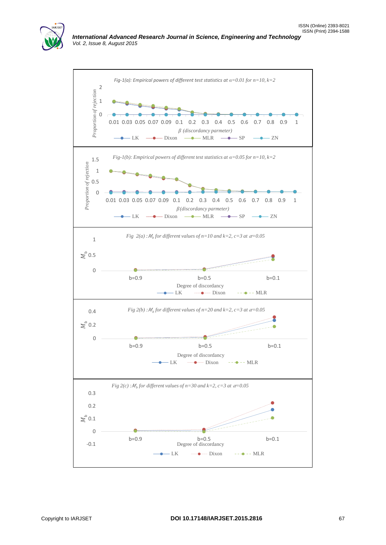

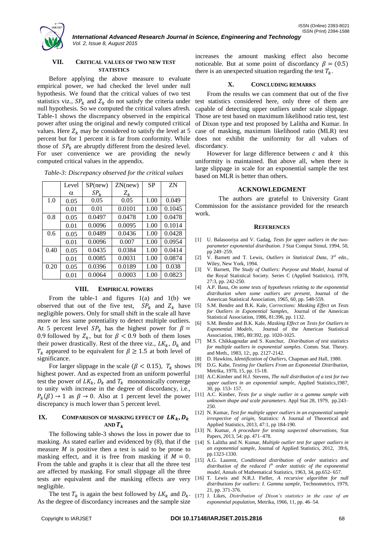

*International Advanced Research Journal in Science, Engineering and Technology Vol. 2, Issue 8, August 2015*

## **VII. CRITICAL VALUES OF TWO NEW TEST STATISTICS**

Before applying the above measure to evaluate empirical power, we had checked the level under null hypothesis. We found that the critical values of two test statistics viz.,  $SP_k$  and  $Z_k$  do not satisfy the criteria under null hypothesis. So we computed the critical values afresh. Table-1 shows the discrepancy observed in the empirical power after using the original and newly computed critical values. Here  $Z_k$  may be considered to satisfy the level at 5 percent but for 1 percent it is far from conformity. While those of  $SP_k$  are abruptly different from the desired level. For user convenience we are providing the newly computed critical values in the appendix.

|      | Level    | SP(new) | ZN(new) | <b>SP</b> | <b>ZN</b> |
|------|----------|---------|---------|-----------|-----------|
|      | $\alpha$ | $SP_k$  | $Z_k$   |           |           |
| 1.0  | 0.05     | 0.05    | 0.05    | 1.00      | 0.049     |
|      | 0.01     | 0.01    | 0.0101  | 1.00      | 0.1045    |
| 0.8  | 0.05     | 0.0497  | 0.0478  | 1.00      | 0.0478    |
|      | 0.01     | 0.0096  | 0.0095  | 1.00      | 0.1014    |
| 0.6  | 0.05     | 0.0489  | 0.0436  | 1.00      | 0.0428    |
|      | 0.01     | 0.0096  | 0.007   | 1.00      | 0.0954    |
| 0.40 | 0.05     | 0.0435  | 0.0384  | 1.00      | 0.0414    |
|      | 0.01     | 0.0085  | 0.0031  | 1.00      | 0.0874    |
| 0.20 | 0.05     | 0.0396  | 0.0189  | 1.00      | 0.038     |
|      | 0.01     | 0.0064  | 0.0003  | 1.00      | 0.0823    |

*Table-3: Discrepancy observed for the critical values*

#### **VIII. EMPIRICAL POWERS**

From the table-1 and figures  $1(a)$  and  $1(b)$  we observed that out of the five test,  $SP_k$  and  $Z_k$  have negligible powers. Only for small shift in the scale all have more or less same potentiality to detect multiple outliers. At 5 percent level  $SP_k$  has the highest power for  $\beta =$ 0.9 followed by  $Z_k$ , but for  $\beta$  < 0.9 both of them loses their power drastically. Rest of the three viz.,  $LK_k$ ,  $D_k$  and  $T_k$  appeared to be equivalent for  $\beta \geq 1.5$  at both level of significance.

For larger slippage in the scale ( $\beta$  < 0.15),  $T_k$  shows highest power. And as expected from an uniform powerful test the power of  $LK_k$ ,  $D_k$  and  $T_k$  monotonically converge to unity with increase in the degree of discordancy, i.e.,  $P_k(\beta) \rightarrow 1$  as  $\beta \rightarrow 0$ . Also at 1 percent level the power discrepancy is much lower than 5 percent level.

# **IX. COMPARISON OF MASKING EFFECT OF**  $LK_k$ **,**  $D_k$ AND  $T_k$

The following table-3 shows the loss in power due to masking. As stated earlier and evidenced by (8), that if the measure  $M$  is positive then a test is said to be prone to masking effect, and it is free from masking if  $M = 0$ . From the table and graphs it is clear that all the three test are affected by masking. For small slippage all the three tests are equivalent and the masking effects are very negligible.

The test  $T_k$  is again the best followed by  $LK_k$  and  $D_k$ . [17] As the degree of discordancy increases and the sample size

increases the amount masking effect also become noticeable. But at some point of discordancy  $\beta = (0.5)$ there is an unexpected situation regarding the test  $T_k$ .

#### **X. CONCLUDING REMARKS**

From the results we can comment that out of the five test statistics considered here, only three of them are capable of detecting upper outliers under scale slippage. Those are test based on maximum likelihood ratio test, test of Dixon type and test proposed by Lalitha and Kumar. In case of masking, maximum likelihood ratio (MLR) test does not exhibit the uniformity for all values of discordancy.

However for large difference between  $c$  and  $k$  this uniformity is maintained. But above all, when there is large slippage in scale for an exponential sample the test based on MLR is better than others.

#### **ACKNOWLEDGMENT**

The authors are grateful to University Grant Commission for the assistance provided for the research work.

#### **REFERENCES**

- [1] U. Balasooriya and V. Gadag, *Tests for upper outliers in the twoparameter exponential distribution.* J Stat Comput Simul, 1994, 50, pp 249–259.
- [2] V. Barnett and T. Lewis, *Outliers in Statistical Data*, 3<sup>rd</sup> edn., Wiley, New York, 1994.
- [3] V. Barnett, *The Study of Outliers: Purpose and Model*, Journal of the Royal Statistical Society. Series C (Applied Statistics), 1978, 27:3, pp. 242-250.
- [4] A.P. Basu, *On some tests of hypotheses relating to the exponential distribution when some outliers are present*, Journal of the American Statistical Association, 1965, 60, pp. 548-559.
- [5] S.M. Bendre and B.K. Kale, *Corrections: Masking Effect on Tests for Outliers in Exponential Samples,* Journal of the American Statistical Association, 1986, 81:396, pp. 1132.
- [6] S.M. Bendre and B.K. Kale, *Masking Effect on Tests for Outliers in Exponential Models,* Journal of the American Statistical Association, 1985, 80:392, pp. 1020-1025.
- [7] M.S. Chikkagoudar and S. Kunchur, *Distribution of test statistics for multiple outliers in exponential samples.* Comm. Stat. Theory. and Meth., 1983, 12:, pp. 2127-2142.
- 
- [8] D. Hawkins, *Identification of Outliers,* Chapman and Hall, 1980. [9] D.G. Kabe, *Testing for Outliers From an Exponential Distribution,* Metrika, 1970, 15, pp. 15-18.
- [10] A.C.Kimber and H.J. Stevens, *The null distribution of a test for two upper outliers in an exponential sample*, Applied Statistics,1987, 30, pp. 153- 157.
- [11] A.C. Kimber, *Tests for a single outlier in a gamma sample with unknown shape and scale parameters*. Appl Stat 28, 1979, pp.243– 250.
- [12] N. Kumar, *Test for multiple upper outliers in an exponential sample irrespective of origin,* Statistics: A Journal of Theoretical and Applied Statistics, 2013, 47:1, pp 184-190.
- [13] N. Kumar, *A procedure for testing suspected observations,* Stat Papers, 2013, 54: pp. 471–478.
- [14] S. Lalitha and N. Kumar, *Multiple outlier test for upper outliers in an exponential sample*, Journal of Applied Statistics, 2012, 39:6, pp.1323-1330.
- [15] A.G. Laurent, *Conditional distribution of order statistics and distribution of the reduced ith order statistic of the exponential model*, Annals of Mathematical Statistics, 1963, 34, pp.652- 657.
- [16] T. Lewis and N.R.J. Fieller, *A recursive algorithm for null distributions for outliers: I. Gamma sample*, Technometrics, 1979, 21, pp. 371-376.
- [17] J. Likes, *Distribution of Dixon's statistics in the case of an exponential population*, Metrika, 1966, 11, pp. 46–54.